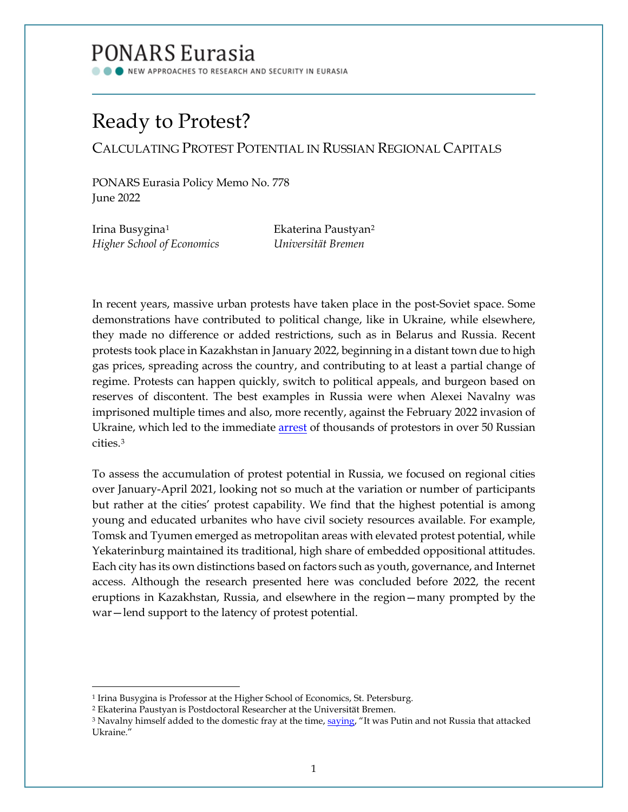## PONARS Eurasia

NEW APPROACHES TO RESEARCH AND SECURITY IN EURASIA

# Ready to Protest?

CALCULATING PROTEST POTENTIAL IN RUSSIAN REGIONAL CAPITALS

PONARS Eurasia Policy Memo No. 778 June 2022

Irina Busygina<sup>[1](#page-0-0)</sup> Ekaterina Paustyan<sup>[2](#page-0-1)</sup> *Higher School of Economics Universität Bremen*

In recent years, massive urban protests have taken place in the post-Soviet space. Some demonstrations have contributed to political change, like in Ukraine, while elsewhere, they made no difference or added restrictions, such as in Belarus and Russia. Recent protests took place in Kazakhstan in January 2022, beginning in a distant town due to high gas prices, spreading across the country, and contributing to at least a partial change of regime. Protests can happen quickly, switch to political appeals, and burgeon based on reserves of discontent. The best examples in Russia were when Alexei Navalny was imprisoned multiple times and also, more recently, against the February 2022 invasion of Ukraine, which led to the immediate [arrest](https://www.aljazeera.com/news/2022/3/6/detentions-across-russia-anti-war-protests-monitor) of thousands of protestors in over 50 Russian cities.[3](#page-0-2) 

To assess the accumulation of protest potential in Russia, we focused on regional cities over January-April 2021, looking not so much at the variation or number of participants but rather at the cities' protest capability. We find that the highest potential is among young and educated urbanites who have civil society resources available. For example, Tomsk and Tyumen emerged as metropolitan areas with elevated protest potential, while Yekaterinburg maintained its traditional, high share of embedded oppositional attitudes. Each city has its own distinctions based on factors such as youth, governance, and Internet access. Although the research presented here was concluded before 2022, the recent eruptions in Kazakhstan, Russia, and elsewhere in the region—many prompted by the war—lend support to the latency of protest potential.

<span id="page-0-0"></span><sup>&</sup>lt;sup>1</sup> Irina Busygina is Professor at the Higher School of Economics, St. Petersburg.

<span id="page-0-1"></span><sup>2</sup> Ekaterina Paustyan is Postdoctoral Researcher at the Universität Bremen.

<span id="page-0-2"></span><sup>&</sup>lt;sup>3</sup> Navalny himself added to the domestic fray at the time[, saying,](https://www.aljazeera.com/news/2022/3/6/detentions-across-russia-anti-war-protests-monitor) "It was Putin and not Russia that attacked Ukraine."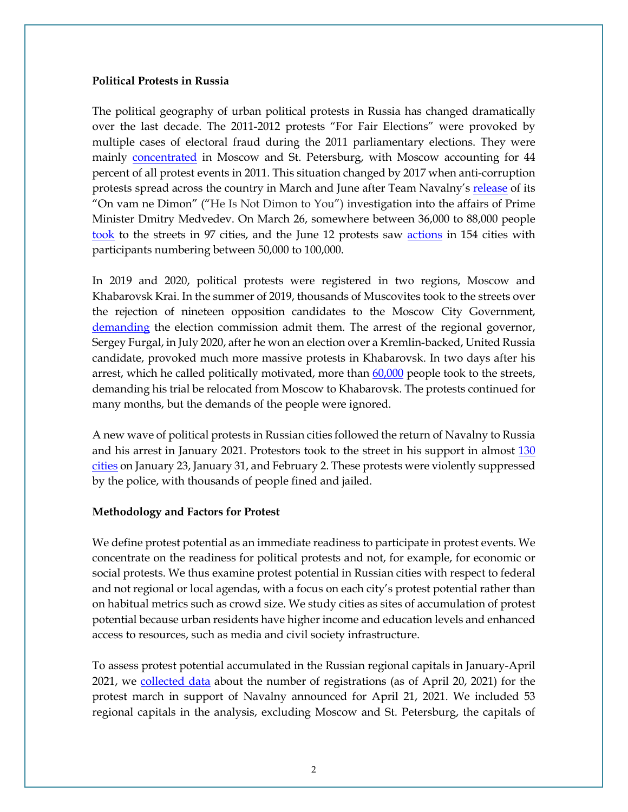#### **Political Protests in Russia**

The political geography of urban political protests in Russia has changed dramatically over the last decade. The 2011-2012 protests "For Fair Elections" were provoked by multiple cases of electoral fraud during the 2011 parliamentary elections. They were mainly [concentrated](https://www.tandfonline.com/doi/abs/10.2753/PPC1075-8216600202) in Moscow and St. Petersburg, with Moscow accounting for 44 percent of all protest events in 2011. This situation changed by 2017 when anti-corruption protests spread across the country in March and June after Team Navalny's [release](https://www.youtube.com/watch?v=qrwlk7_GF9g) of its "On vam ne Dimon" ("He Is Not Dimon to You") investigation into the affairs of Prime Minister Dmitry Medvedev. On March 26, somewhere between 36,000 to 88,000 people [took](https://meduza.io/feature/2017/06/07/protestnaya-karta-rossii) to the streets in 97 cities, and the June 12 protests saw [actions](https://ovdinfo.org/articles/2017/06/19/skolko-lyudey-i-v-kakih-gorodah-vyshli-na-akcii-12-iyunya-karta-ovd-info-i) in 154 cities with participants numbering between 50,000 to 100,000.

In 2019 and 2020, political protests were registered in two regions, Moscow and Khabarovsk Krai. In the summer of 2019, thousands of Muscovites took to the streets over the rejection of nineteen opposition candidates to the Moscow City Government, [demanding](https://www.reuters.com/article/orutp-russia-politics-protests-idRUKCN1V00L5-ORUTP) the election commission admit them. The arrest of the regional governor, Sergey Furgal, in July 2020, after he won an election over a Kremlin-backed, United Russia candidate, provoked much more massive protests in Khabarovsk. In two days after his arrest, which he called politically motivated, more than  $60,000$  people took to the streets, demanding his trial be relocated from Moscow to Khabarovsk. The protests continued for many months, but the demands of the people were ignored.

A new wave of political protests in Russian cities followed the return of Navalny to Russia and his arrest in January 2021. Protestors took to the street in his support in almost  $130$ [cities](https://ovdinfo.org/navalny-protests) on January 23, January 31, and February 2. These protests were violently suppressed by the police, with thousands of people fined and jailed.

#### **Methodology and Factors for Protest**

We define protest potential as an immediate readiness to participate in protest events. We concentrate on the readiness for political protests and not, for example, for economic or social protests. We thus examine protest potential in Russian cities with respect to federal and not regional or local agendas, with a focus on each city's protest potential rather than on habitual metrics such as crowd size. We study cities as sites of accumulation of protest potential because urban residents have higher income and education levels and enhanced access to resources, such as media and civil society infrastructure.

To assess protest potential accumulated in the Russian regional capitals in January-April 2021, we [collected data](https://free.navalny.com/) about the number of registrations (as of April 20, 2021) for the protest march in support of Navalny announced for April 21, 2021. We included 53 regional capitals in the analysis, excluding Moscow and St. Petersburg, the capitals of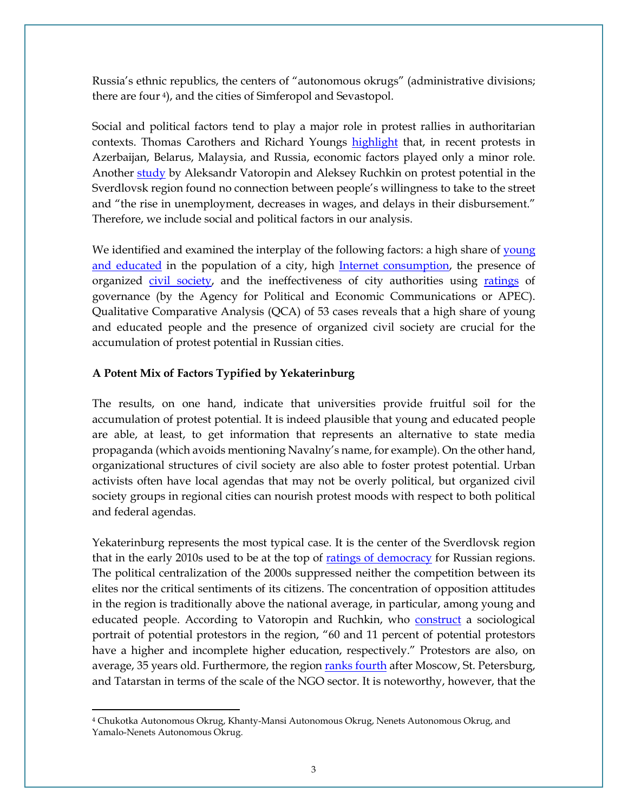Russia's ethnic republics, the centers of "autonomous okrugs" (administrative divisions; there are four [4\)](#page-2-0), and the cities of Simferopol and Sevastopol.

Social and political factors tend to play a major role in protest rallies in authoritarian contexts. Thomas Carothers and Richard Youngs [highlight](https://www.jstor.org/stable/resrep12845?seq=1) that, in recent protests in Azerbaijan, Belarus, Malaysia, and Russia, economic factors played only a minor role. Another [study](https://www.tandfonline.com/doi/full/10.1080/10610154.2018.1547583) by Aleksandr Vatoropin and Aleksey Ruchkin on protest potential in the Sverdlovsk region found no connection between people's willingness to take to the street and "the rise in unemployment, decreases in wages, and delays in their disbursement." Therefore, we include social and political factors in our analysis.

We identified and examined the interplay of the following factors: a high share of young [and educated](https://vuzoteka.ru/) in the population of a city, high [Internet consumption,](https://br-analytics.ru/statistics/am/?hub_id=3&date=202105&period_type=month) the presence of organized [civil society,](https://raex-a.ru/rankings/NKO_region) and the ineffectiveness of city authorities using [ratings](http://apecom.ru/projects/item.php?SECTION_ID=90&ELEMENT_ID=6781) of governance (by the Agency for Political and Economic Communications or APEC). Qualitative Comparative Analysis (QCA) of 53 cases reveals that a high share of young and educated people and the presence of organized civil society are crucial for the accumulation of protest potential in Russian cities.

### **A Potent Mix of Factors Typified by Yekaterinburg**

The results, on one hand, indicate that universities provide fruitful soil for the accumulation of protest potential. It is indeed plausible that young and educated people are able, at least, to get information that represents an alternative to state media propaganda (which avoids mentioning Navalny's name, for example). On the other hand, organizational structures of civil society are also able to foster protest potential. Urban activists often have local agendas that may not be overly political, but organized civil society groups in regional cities can nourish protest moods with respect to both political and federal agendas.

Yekaterinburg represents the most typical case. It is the center of the Sverdlovsk region that in the early 2010s used to be at the top of [ratings of democracy](https://carnegie.ru/2013/12/25/ru-pub-55853) for Russian regions. The political centralization of the 2000s suppressed neither the competition between its elites nor the critical sentiments of its citizens. The concentration of opposition attitudes in the region is traditionally above the national average, in particular, among young and educated people. According to Vatoropin and Ruchkin, who **construct** a sociological portrait of potential protestors in the region, "60 and 11 percent of potential protestors have a higher and incomplete higher education, respectively." Protestors are also, on average, 35 years old. Furthermore, the region [ranks fourth](https://raex-a.ru/rankings/NKO_region) after Moscow, St. Petersburg, and Tatarstan in terms of the scale of the NGO sector. It is noteworthy, however, that the

<span id="page-2-0"></span><sup>4</sup> Chukotka Autonomous Okrug, Khanty-Mansi Autonomous Okrug, Nenets Autonomous Okrug, and Yamalo-Nenets Autonomous Okrug.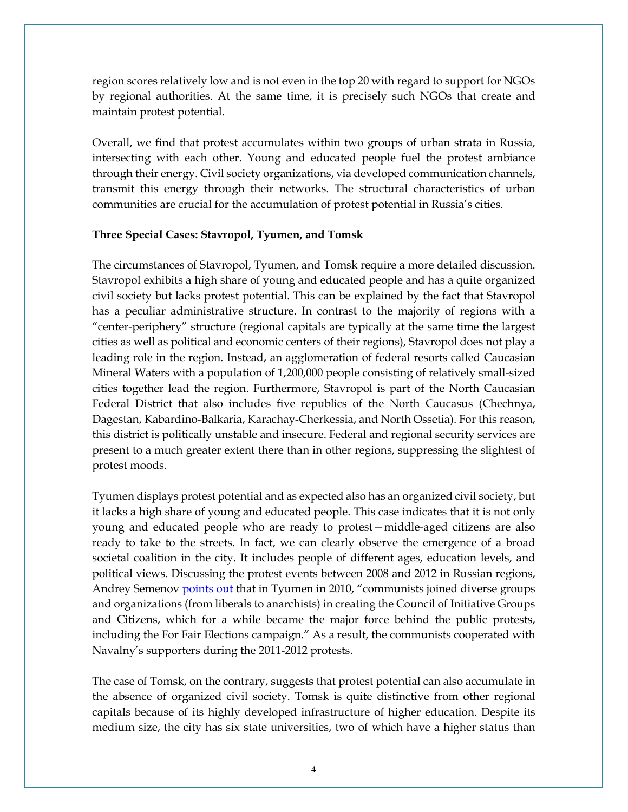region scores relatively low and is not even in the top 20 with regard to support for NGOs by regional authorities. At the same time, it is precisely such NGOs that create and maintain protest potential.

Overall, we find that protest accumulates within two groups of urban strata in Russia, intersecting with each other. Young and educated people fuel the protest ambiance through their energy. Civil society organizations, via developed communication channels, transmit this energy through their networks. The structural characteristics of urban communities are crucial for the accumulation of protest potential in Russia's cities.

## **Three Special Cases: Stavropol, Tyumen, and Tomsk**

The circumstances of Stavropol, Tyumen, and Tomsk require a more detailed discussion. Stavropol exhibits a high share of young and educated people and has a quite organized civil society but lacks protest potential. This can be explained by the fact that Stavropol has a peculiar administrative structure. In contrast to the majority of regions with a "center-periphery" structure (regional capitals are typically at the same time the largest cities as well as political and economic centers of their regions), Stavropol does not play a leading role in the region. Instead, an agglomeration of federal resorts called Caucasian Mineral Waters with a population of 1,200,000 people consisting of relatively small-sized cities together lead the region. Furthermore, Stavropol is part of the North Caucasian Federal District that also includes five republics of the North Caucasus (Chechnya, Dagestan, Kabardino-Balkaria, Karachay-Cherkessia, and North Ossetia). For this reason, this district is politically unstable and insecure. Federal and regional security services are present to a much greater extent there than in other regions, suppressing the slightest of protest moods.

Tyumen displays protest potential and as expected also has an organized civil society, but it lacks a high share of young and educated people. This case indicates that it is not only young and educated people who are ready to protest—middle-aged citizens are also ready to take to the streets. In fact, we can clearly observe the emergence of a broad societal coalition in the city. It includes people of different ages, education levels, and political views. Discussing the protest events between 2008 and 2012 in Russian regions, Andrey Semeno[v points out](https://doi.org/10.15203/ozp.1107.vol45iss4) that in Tyumen in 2010, "communists joined diverse groups and organizations (from liberals to anarchists) in creating the Council of Initiative Groups and Citizens, which for a while became the major force behind the public protests, including the For Fair Elections campaign." As a result, the communists cooperated with Navalny's supporters during the 2011-2012 protests.

The case of Tomsk, on the contrary, suggests that protest potential can also accumulate in the absence of organized civil society. Tomsk is quite distinctive from other regional capitals because of its highly developed infrastructure of higher education. Despite its medium size, the city has six state universities, two of which have a higher status than